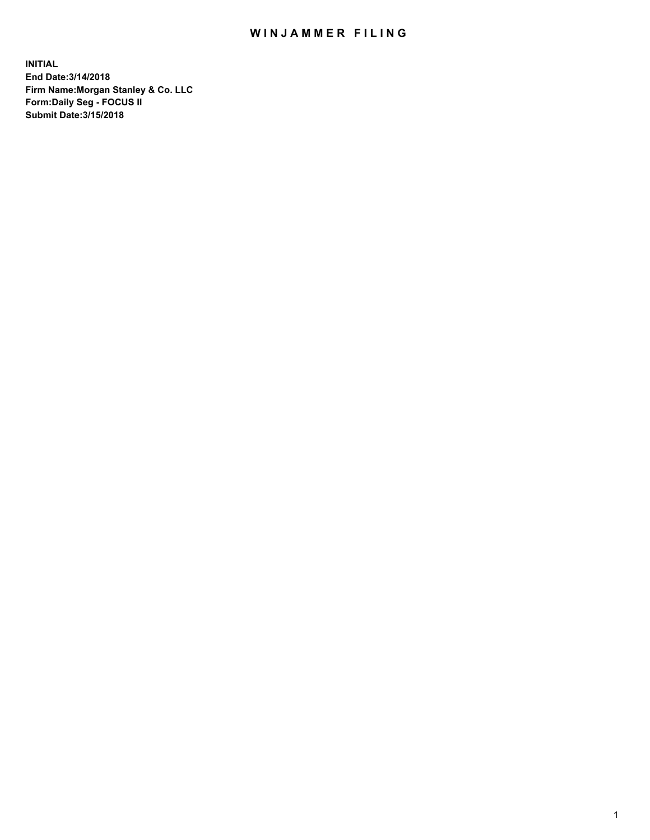## WIN JAMMER FILING

**INITIAL End Date:3/14/2018 Firm Name:Morgan Stanley & Co. LLC Form:Daily Seg - FOCUS II Submit Date:3/15/2018**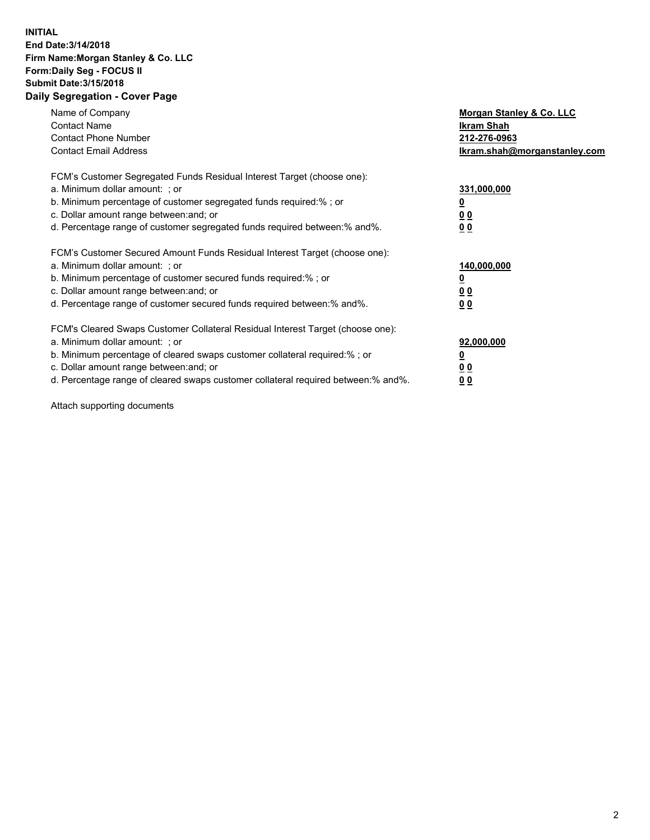## **INITIAL End Date:3/14/2018 Firm Name:Morgan Stanley & Co. LLC Form:Daily Seg - FOCUS II Submit Date:3/15/2018 Daily Segregation - Cover Page**

| Name of Company<br><b>Contact Name</b><br><b>Contact Phone Number</b><br><b>Contact Email Address</b>                                                                                                                                                                                                                          | Morgan Stanley & Co. LLC<br>Ikram Shah<br>212-276-0963<br>lkram.shah@morganstanley.com |
|--------------------------------------------------------------------------------------------------------------------------------------------------------------------------------------------------------------------------------------------------------------------------------------------------------------------------------|----------------------------------------------------------------------------------------|
| FCM's Customer Segregated Funds Residual Interest Target (choose one):<br>a. Minimum dollar amount: ; or<br>b. Minimum percentage of customer segregated funds required:%; or<br>c. Dollar amount range between: and; or<br>d. Percentage range of customer segregated funds required between: % and %.                        | 331,000,000<br>0 <sub>0</sub><br>00                                                    |
| FCM's Customer Secured Amount Funds Residual Interest Target (choose one):<br>a. Minimum dollar amount: ; or<br>b. Minimum percentage of customer secured funds required:%; or<br>c. Dollar amount range between: and; or<br>d. Percentage range of customer secured funds required between:% and%.                            | 140,000,000<br>0 <sub>0</sub><br>0 <sub>0</sub>                                        |
| FCM's Cleared Swaps Customer Collateral Residual Interest Target (choose one):<br>a. Minimum dollar amount: ; or<br>b. Minimum percentage of cleared swaps customer collateral required:% ; or<br>c. Dollar amount range between: and; or<br>d. Percentage range of cleared swaps customer collateral required between:% and%. | 92,000,000<br>0 <sub>0</sub><br>0 <sub>0</sub>                                         |

Attach supporting documents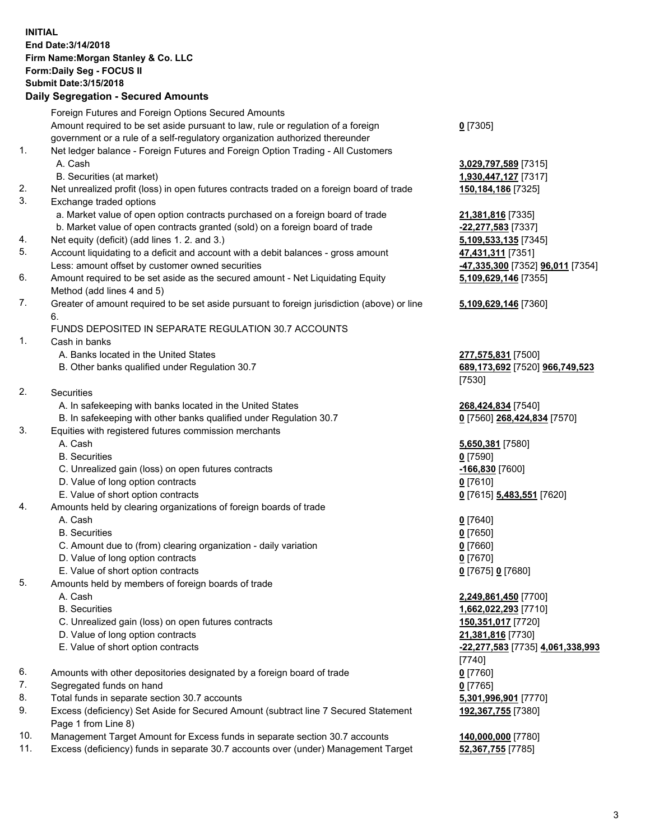## **INITIAL End Date:3/14/2018 Firm Name:Morgan Stanley & Co. LLC Form:Daily Seg - FOCUS II Submit Date:3/15/2018 Daily Segregation - Secured Amounts**

Foreign Futures and Foreign Options Secured Amounts Amount required to be set aside pursuant to law, rule or regulation of a foreign government or a rule of a self-regulatory organization authorized thereunder **0** [7305] 1. Net ledger balance - Foreign Futures and Foreign Option Trading - All Customers A. Cash **3,029,797,589** [7315] B. Securities (at market) **1,930,447,127** [7317] 2. Net unrealized profit (loss) in open futures contracts traded on a foreign board of trade **150,184,186** [7325] 3. Exchange traded options a. Market value of open option contracts purchased on a foreign board of trade **21,381,816** [7335] b. Market value of open contracts granted (sold) on a foreign board of trade **-22,277,583** [7337] 4. Net equity (deficit) (add lines 1. 2. and 3.) **5,109,533,135** [7345] 5. Account liquidating to a deficit and account with a debit balances - gross amount **47,431,311** [7351] Less: amount offset by customer owned securities **-47,335,300** [7352] **96,011** [7354] 6. Amount required to be set aside as the secured amount - Net Liquidating Equity Method (add lines 4 and 5) **5,109,629,146** [7355] 7. Greater of amount required to be set aside pursuant to foreign jurisdiction (above) or line 6. **5,109,629,146** [7360] FUNDS DEPOSITED IN SEPARATE REGULATION 30.7 ACCOUNTS 1. Cash in banks A. Banks located in the United States **277,575,831** [7500] B. Other banks qualified under Regulation 30.7 **689,173,692** [7520] **966,749,523** [7530] 2. Securities A. In safekeeping with banks located in the United States **268,424,834** [7540] B. In safekeeping with other banks qualified under Regulation 30.7 **0** [7560] **268,424,834** [7570] 3. Equities with registered futures commission merchants A. Cash **5,650,381** [7580] B. Securities **0** [7590] C. Unrealized gain (loss) on open futures contracts **-166,830** [7600] D. Value of long option contracts **0** [7610] E. Value of short option contracts **0** [7615] **5,483,551** [7620] 4. Amounts held by clearing organizations of foreign boards of trade A. Cash **0** [7640] B. Securities **0** [7650] C. Amount due to (from) clearing organization - daily variation **0** [7660] D. Value of long option contracts **0** [7670] E. Value of short option contracts **0** [7675] **0** [7680] 5. Amounts held by members of foreign boards of trade A. Cash **2,249,861,450** [7700] B. Securities **1,662,022,293** [7710] C. Unrealized gain (loss) on open futures contracts **150,351,017** [7720] D. Value of long option contracts **21,381,816** [7730] E. Value of short option contracts **-22,277,583** [7735] **4,061,338,993** [7740] 6. Amounts with other depositories designated by a foreign board of trade **0** [7760] 7. Segregated funds on hand **0** [7765] 8. Total funds in separate section 30.7 accounts **5,301,996,901** [7770] 9. Excess (deficiency) Set Aside for Secured Amount (subtract line 7 Secured Statement Page 1 from Line 8) **192,367,755** [7380] 10. Management Target Amount for Excess funds in separate section 30.7 accounts **140,000,000** [7780]

11. Excess (deficiency) funds in separate 30.7 accounts over (under) Management Target **52,367,755** [7785]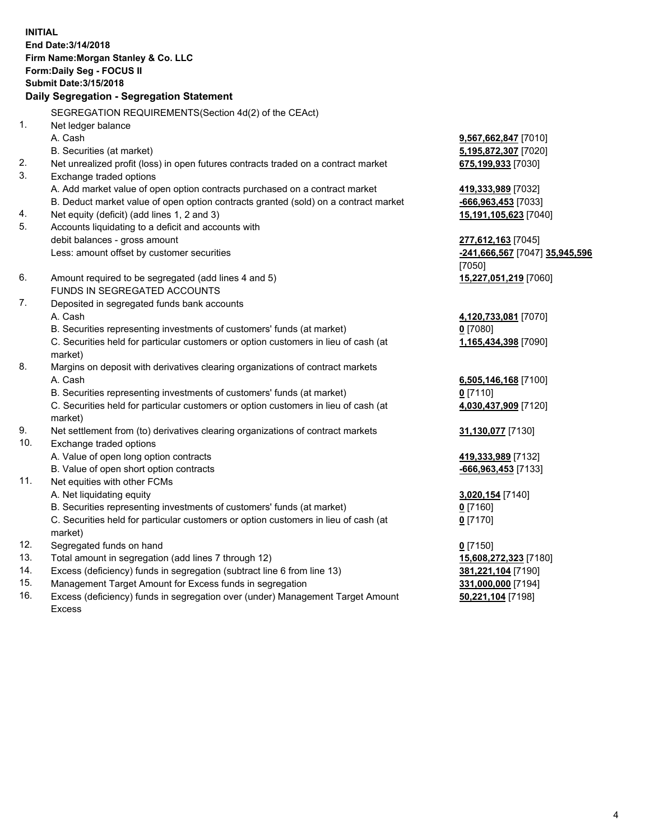**INITIAL End Date:3/14/2018 Firm Name:Morgan Stanley & Co. LLC Form:Daily Seg - FOCUS II Submit Date:3/15/2018 Daily Segregation - Segregation Statement** SEGREGATION REQUIREMENTS(Section 4d(2) of the CEAct) 1. Net ledger balance A. Cash **9,567,662,847** [7010] B. Securities (at market) **5,195,872,307** [7020] 2. Net unrealized profit (loss) in open futures contracts traded on a contract market **675,199,933** [7030] 3. Exchange traded options A. Add market value of open option contracts purchased on a contract market **419,333,989** [7032] B. Deduct market value of open option contracts granted (sold) on a contract market **-666,963,453** [7033] 4. Net equity (deficit) (add lines 1, 2 and 3) **15,191,105,623** [7040] 5. Accounts liquidating to a deficit and accounts with debit balances - gross amount **277,612,163** [7045] Less: amount offset by customer securities **-241,666,567** [7047] **35,945,596** [7050] 6. Amount required to be segregated (add lines 4 and 5) **15,227,051,219** [7060] FUNDS IN SEGREGATED ACCOUNTS 7. Deposited in segregated funds bank accounts A. Cash **4,120,733,081** [7070] B. Securities representing investments of customers' funds (at market) **0** [7080] C. Securities held for particular customers or option customers in lieu of cash (at market) **1,165,434,398** [7090] 8. Margins on deposit with derivatives clearing organizations of contract markets A. Cash **6,505,146,168** [7100] B. Securities representing investments of customers' funds (at market) **0** [7110] C. Securities held for particular customers or option customers in lieu of cash (at market) **4,030,437,909** [7120] 9. Net settlement from (to) derivatives clearing organizations of contract markets **31,130,077** [7130] 10. Exchange traded options A. Value of open long option contracts **419,333,989** [7132] B. Value of open short option contracts **-666,963,453** [7133] 11. Net equities with other FCMs A. Net liquidating equity **3,020,154** [7140] B. Securities representing investments of customers' funds (at market) **0** [7160] C. Securities held for particular customers or option customers in lieu of cash (at market) **0** [7170] 12. Segregated funds on hand **0** [7150] 13. Total amount in segregation (add lines 7 through 12) **15,608,272,323** [7180] 14. Excess (deficiency) funds in segregation (subtract line 6 from line 13) **381,221,104** [7190]

- 15. Management Target Amount for Excess funds in segregation **331,000,000** [7194]
- 16. Excess (deficiency) funds in segregation over (under) Management Target Amount Excess

**50,221,104** [7198]